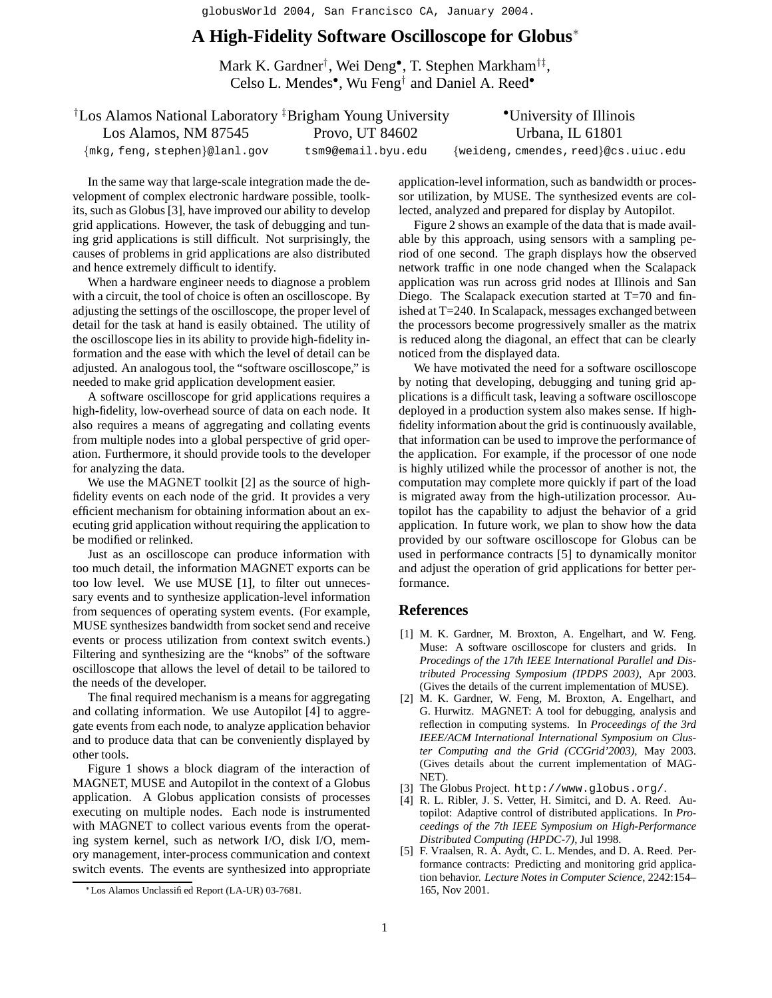globusWorld 2004, San Francisco CA, January 2004.

## **A High-Fidelity Software Oscilloscope for Globus**<sup>∗</sup>

Mark K. Gardner† , Wei Deng• , T. Stephen Markham†‡ , Celso L. Mendes• , Wu Feng† and Daniel A. Reed•

| <sup>†</sup> Los Alamos National Laboratory <sup>‡</sup> Brigham Young University |                    | •University of Illinois              |
|-----------------------------------------------------------------------------------|--------------------|--------------------------------------|
| Los Alamos, NM 87545                                                              | Provo, UT 84602    | Urbana, IL 61801                     |
| $\{\text{mkg}, \text{feng}, \text{stephen}\}$ @lanl.gov                           | tsm9@email.byu.edu | {weideng, cmendes, reed}@cs.uiuc.edu |

In the same way that large-scale integration made the development of complex electronic hardware possible, toolkits, such as Globus [3], have improved our ability to develop grid applications. However, the task of debugging and tuning grid applications is still difficult. Not surprisingly, the causes of problems in grid applications are also distributed and hence extremely difficult to identify.

When a hardware engineer needs to diagnose a problem with a circuit, the tool of choice is often an oscilloscope. By adjusting the settings of the oscilloscope, the proper level of detail for the task at hand is easily obtained. The utility of the oscilloscope lies in its ability to provide high-fidelity information and the ease with which the level of detail can be adjusted. An analogous tool, the "software oscilloscope," is needed to make grid application development easier.

A software oscilloscope for grid applications requires a high-fidelity, low-overhead source of data on each node. It also requires a means of aggregating and collating events from multiple nodes into a global perspective of grid operation. Furthermore, it should provide tools to the developer for analyzing the data.

We use the MAGNET toolkit [2] as the source of highfidelity events on each node of the grid. It provides a very efficient mechanism for obtaining information about an executing grid application without requiring the application to be modified or relinked.

Just as an oscilloscope can produce information with too much detail, the information MAGNET exports can be too low level. We use MUSE [1], to filter out unnecessary events and to synthesize application-level information from sequences of operating system events. (For example, MUSE synthesizes bandwidth from socket send and receive events or process utilization from context switch events.) Filtering and synthesizing are the "knobs" of the software oscilloscope that allows the level of detail to be tailored to the needs of the developer.

The final required mechanism is a means for aggregating and collating information. We use Autopilot [4] to aggregate events from each node, to analyze application behavior and to produce data that can be conveniently displayed by other tools.

Figure 1 shows a block diagram of the interaction of MAGNET, MUSE and Autopilot in the context of a Globus application. A Globus application consists of processes executing on multiple nodes. Each node is instrumented with MAGNET to collect various events from the operating system kernel, such as network I/O, disk I/O, memory management, inter-process communication and context switch events. The events are synthesized into appropriate

application-level information, such as bandwidth or processor utilization, by MUSE. The synthesized events are collected, analyzed and prepared for display by Autopilot.

Figure 2 shows an example of the data that is made available by this approach, using sensors with a sampling period of one second. The graph displays how the observed network traffic in one node changed when the Scalapack application was run across grid nodes at Illinois and San Diego. The Scalapack execution started at T=70 and finished at T=240. In Scalapack, messages exchanged between the processors become progressively smaller as the matrix is reduced along the diagonal, an effect that can be clearly noticed from the displayed data.

We have motivated the need for a software oscilloscope by noting that developing, debugging and tuning grid applications is a difficult task, leaving a software oscilloscope deployed in a production system also makes sense. If highfidelity information about the grid is continuously available, that information can be used to improve the performance of the application. For example, if the processor of one node is highly utilized while the processor of another is not, the computation may complete more quickly if part of the load is migrated away from the high-utilization processor. Autopilot has the capability to adjust the behavior of a grid application. In future work, we plan to show how the data provided by our software oscilloscope for Globus can be used in performance contracts [5] to dynamically monitor and adjust the operation of grid applications for better performance.

## **References**

- [1] M. K. Gardner, M. Broxton, A. Engelhart, and W. Feng. Muse: A software oscilloscope for clusters and grids. In *Procedings of the 17th IEEE International Parallel and Distributed Processing Symposium (IPDPS 2003)*, Apr 2003. (Gives the details of the current implementation of MUSE).
- [2] M. K. Gardner, W. Feng, M. Broxton, A. Engelhart, and G. Hurwitz. MAGNET: A tool for debugging, analysis and reflection in computing systems. In *Proceedings of the 3rd IEEE/ACM International International Symposium on Cluster Computing and the Grid (CCGrid'2003)*, May 2003. (Gives details about the current implementation of MAG-NET).
- [3] The Globus Project. http://www.globus.org/.
- [4] R. L. Ribler, J. S. Vetter, H. Simitci, and D. A. Reed. Autopilot: Adaptive control of distributed applications. In *Proceedings of the 7th IEEE Symposium on High-Performance Distributed Computing (HPDC-7)*, Jul 1998.
- [5] F. Vraalsen, R. A. Aydt, C. L. Mendes, and D. A. Reed. Performance contracts: Predicting and monitoring grid application behavior. *Lecture Notes in Computer Science*, 2242:154– 165, Nov 2001.

<sup>∗</sup>Los Alamos Unclassified Report (LA-UR) 03-7681.